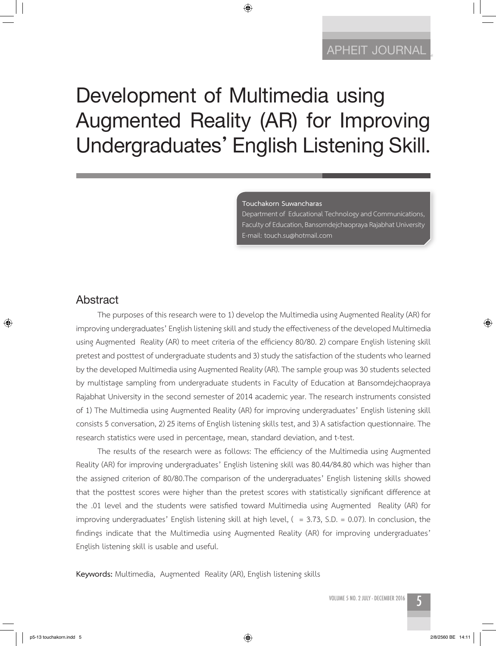## **APHEIT JOURNAL APHEIT JOURNAL**

# **Development of Multimedia using Augmented Reality (AR) for Improving Undergraduates' English Listening Skill.**

◈

**Touchakorn Suwancharas**

Department of Educational Technology and Communications, Faculty of Education, Bansomdejchaopraya Rajabhat University E-mail: touch.su@hotmail.com

## **Abstract**

⊕

The purposes of this research were to 1) develop the Multimedia using Augmented Reality (AR) for improving undergraduates' English listening skill and study the effectiveness of the developed Multimedia using Augmented Reality (AR) to meet criteria of the efficiency 80/80. 2) compare English listening skill pretest and posttest of undergraduate students and 3) study the satisfaction of the students who learned by the developed Multimedia using Augmented Reality (AR). The sample group was 30 students selected by multistage sampling from undergraduate students in Faculty of Education at Bansomdejchaopraya Rajabhat University in the second semester of 2014 academic year. The research instruments consisted of 1) The Multimedia using Augmented Reality (AR) for improving undergraduates' English listening skill consists 5 conversation, 2) 25 items of English listening skills test, and 3) A satisfaction questionnaire. The research statistics were used in percentage, mean, standard deviation, and t-test.

The results of the research were as follows: The efficiency of the Multimedia using Augmented Reality (AR) for improving undergraduates' English listening skill was 80.44/84.80 which was higher than the assigned criterion of 80/80.The comparison of the undergraduates' English listening skills showed that the posttest scores were higher than the pretest scores with statistically significant difference at the .01 level and the students were satisfied toward Multimedia using Augmented Reality (AR) for improving undergraduates' English listening skill at high level, ( = 3.73, S.D. = 0.07). In conclusion, the findings indicate that the Multimedia using Augmented Reality (AR) for improving undergraduates' English listening skill is usable and useful.

**Keywords:** Multimedia, Augmented Reality (AR), English listening skills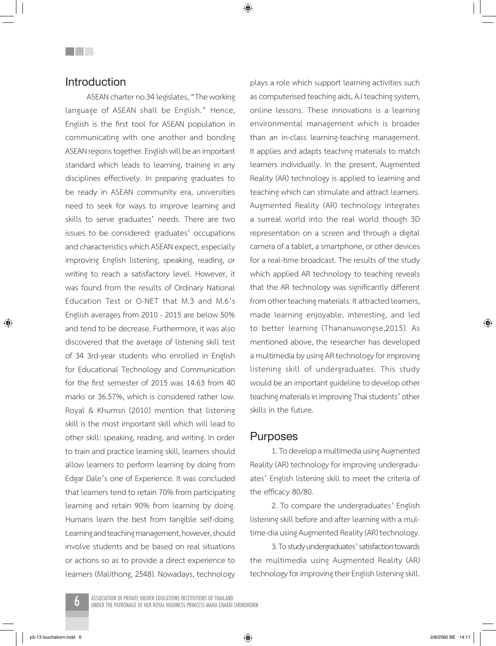◈

## **Introduction**

**THE SEA** 

ASEAN charter no.34 legislates, "The working language of ASEAN shall be English." Hence, English is the first tool for ASEAN population in communicating with one another and bonding ASEAN regions together. English will be an important standard which leads to learning, training in any disciplines effectively. In preparing graduates to be ready in ASEAN community era, universities need to seek for ways to improve learning and skills to serve graduates' needs. There are two issues to be considered: graduates' occupations and characteristics which ASEAN expect, especially improving English listening, speaking, reading, or writing to reach a satisfactory level. However, it was found from the results of Ordinary National Education Test or O-NET that M.3 and M.6's English averages from 2010 - 2015 are below 50% and tend to be decrease. Furthermore, it was also discovered that the average of listening skill test of 34 3rd-year students who enrolled in English for Educational Technology and Communication for the first semester of 2015 was 14.63 from 40 marks or 36.57%, which is considered rather low. Royal & Khumsri (2010) mention that listening skill is the most important skill which will lead to other skill: speaking, reading, and writing. In order to train and practice learning skill, learners should allow learners to perform learning by doing from Edgar Dale's one of Experience. It was concluded that learners tend to retain 70% from participating learning and retain 90% from learning by doing. Humans learn the best from tangible self-doing. Learning and teaching management, however, should involve students and be based on real situations or actions so as to provide a direct experience to learners (Malithong, 2548). Nowadays, technology plays a role which support learning activities such as computerised teaching aids, A.I teaching system, online lessons. These innovations is a learning environmental management which is broader than an in-class learning-teaching management. It applies and adapts teaching materials to match learners individually. In the present, Augmented Reality (AR) technology is applied to learning and teaching which can stimulate and attract learners. Augmented Reality (AR) technology integrates a surreal world into the real world though 3D representation on a screen and through a digital camera of a tablet, a smartphone, or other devices for a real-time broadcast. The results of the study which applied AR technology to teaching reveals that the AR technology was significantly different from other teaching materials. It attracted learners, made learning enjoyable, interesting, and led to better learning (Thananuwongse,2015). As mentioned above, the researcher has developed a multimedia by using AR technology for improving listening skill of undergraduates. This study would be an important guideline to develop other teaching materials in improving Thai students' other skills in the future.

#### **Purposes**

1. To develop a multimedia using Augmented Reality (AR) technology for improving undergraduates' English listening skill to meet the criteria of the efficacy 80/80.

2. To compare the undergraduates' English listening skill before and after learning with a multime-dia using Augmented Reality (AR) technology.

3. To study undergraduates' satisfaction towards the multimedia using Augmented Reality (AR) technology for improving their English listening skill.



p5-13 touchakorn.indd 6 2/8/2560 BE 14:11

⊕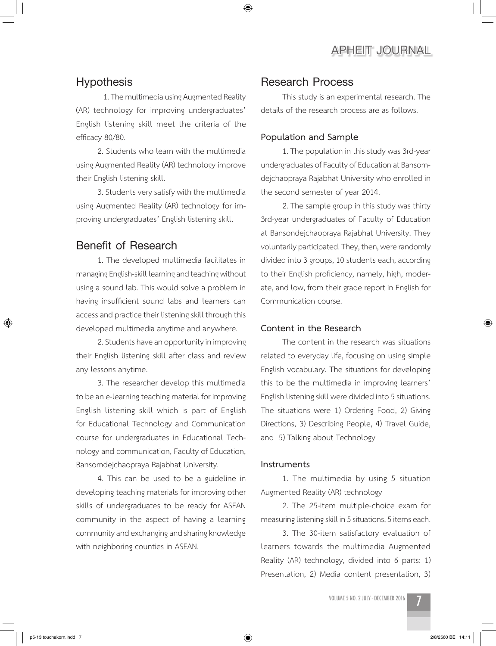## **Hypothesis**

1. The multimedia using Augmented Reality (AR) technology for improving undergraduates' English listening skill meet the criteria of the efficacy 80/80.

2. Students who learn with the multimedia using Augmented Reality (AR) technology improve their English listening skill.

3. Students very satisfy with the multimedia using Augmented Reality (AR) technology for improving undergraduates' English listening skill.

## **Benefit of Research**

1. The developed multimedia facilitates in managing English-skill learning and teaching without using a sound lab. This would solve a problem in having insufficient sound labs and learners can access and practice their listening skill through this developed multimedia anytime and anywhere.

2. Students have an opportunity in improving their English listening skill after class and review any lessons anytime.

3. The researcher develop this multimedia to be an e-learning teaching material for improving English listening skill which is part of English for Educational Technology and Communication course for undergraduates in Educational Technology and communication, Faculty of Education, Bansomdejchaopraya Rajabhat University.

4. This can be used to be a guideline in developing teaching materials for improving other skills of undergraduates to be ready for ASEAN community in the aspect of having a learning community and exchanging and sharing knowledge with neighboring counties in ASEAN.

## **Research Process**

◈

This study is an experimental research. The details of the research process are as follows.

#### **Population and Sample**

1. The population in this study was 3rd-year undergraduates of Faculty of Education at Bansomdejchaopraya Rajabhat University who enrolled in the second semester of year 2014.

2. The sample group in this study was thirty 3rd-year undergraduates of Faculty of Education at Bansondejchaopraya Rajabhat University. They voluntarily participated. They, then, were randomly divided into 3 groups, 10 students each, according to their English proficiency, namely, high, moderate, and low, from their grade report in English for Communication course.

#### **Content in the Research**

The content in the research was situations related to everyday life, focusing on using simple English vocabulary. The situations for developing this to be the multimedia in improving learners' English listening skill were divided into 5 situations. The situations were 1) Ordering Food, 2) Giving Directions, 3) Describing People, 4) Travel Guide, and 5) Talking about Technology

#### **Instruments**

1. The multimedia by using 5 situation Augmented Reality (AR) technology

2. The 25-item multiple-choice exam for measuring listening skill in 5 situations, 5 items each.

3. The 30-item satisfactory evaluation of learners towards the multimedia Augmented Reality (AR) technology, divided into 6 parts: 1) Presentation, 2) Media content presentation, 3)

volume 5 no. 2 JULY - DECEMBER 2016 7

⊕

↔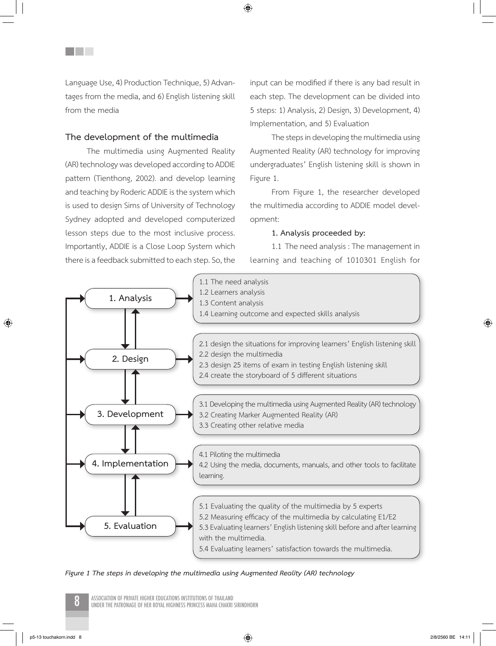Language Use, 4) Production Technique, 5) Advantages from the media, and 6) English listening skill from the media

#### **The development of the multimedia**

<u>Filmer</u>

The multimedia using Augmented Reality (AR) technology was developed according to ADDIE pattern (Tienthong, 2002). and develop learning and teaching by Roderic ADDIE is the system which is used to design Sims of University of Technology Sydney adopted and developed computerized lesson steps due to the most inclusive process. Importantly, ADDIE is a Close Loop System which there is a feedback submitted to each step. So, the input can be modified if there is any bad result in each step. The development can be divided into 5 steps: 1) Analysis, 2) Design, 3) Development, 4) Implementation, and 5) Evaluation

The steps in developing the multimedia using Augmented Reality (AR) technology for improving undergraduates' English listening skill is shown in Figure 1.

From Figure 1, the researcher developed the multimedia according to ADDIE model development:

#### **1. Analysis proceeded by:**

1.1 The need analysis : The management in learning and teaching of 1010301 English for



◈

*Figure 1 The steps in developing the multimedia using Augmented Reality (AR) technology*

ASSOCIATION OF PRIVATE HIGHER EDUCATIONS INSTITUTIONS OF THAILAND<br>UNDER THE PATRONAGE OF HER ROYAL HIGHNESS PRINCESS MAHA CHAKRI SIRINDHORN

⊕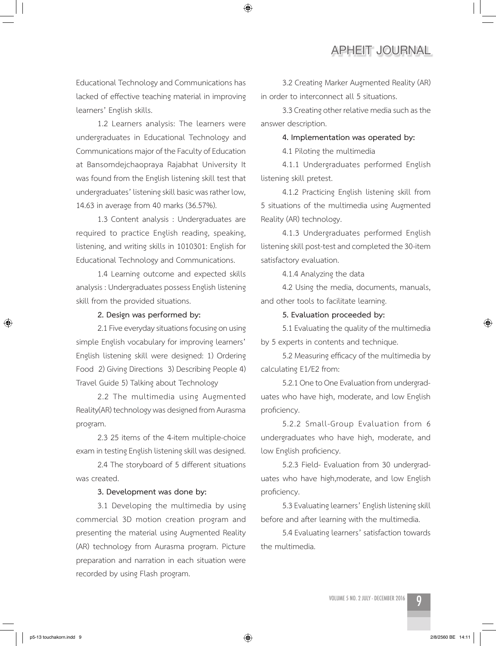Educational Technology and Communications has lacked of effective teaching material in improving learners' English skills.

◈

1.2 Learners analysis: The learners were undergraduates in Educational Technology and Communications major of the Faculty of Education at Bansomdejchaopraya Rajabhat University It was found from the English listening skill test that undergraduates' listening skill basic was rather low, 14.63 in average from 40 marks (36.57%).

1.3 Content analysis : Undergraduates are required to practice English reading, speaking, listening, and writing skills in 1010301: English for Educational Technology and Communications.

1.4 Learning outcome and expected skills analysis : Undergraduates possess English listening skill from the provided situations.

#### **2. Design was performed by:**

2.1 Five everyday situations focusing on using simple English vocabulary for improving learners' English listening skill were designed: 1) Ordering Food 2) Giving Directions 3) Describing People 4) Travel Guide 5) Talking about Technology

2.2 The multimedia using Augmented Reality(AR) technology was designed from Aurasma program.

2.3 25 items of the 4-item multiple-choice exam in testing English listening skill was designed.

2.4 The storyboard of 5 different situations was created.

#### **3. Development was done by:**

3.1 Developing the multimedia by using commercial 3D motion creation program and presenting the material using Augmented Reality (AR) technology from Aurasma program. Picture preparation and narration in each situation were recorded by using Flash program.

3.2 Creating Marker Augmented Reality (AR) in order to interconnect all 5 situations.

3.3 Creating other relative media such as the answer description.

#### **4. Implementation was operated by:**

4.1 Piloting the multimedia

4.1.1 Undergraduates performed English listening skill pretest.

4.1.2 Practicing English listening skill from 5 situations of the multimedia using Augmented Reality (AR) technology.

4.1.3 Undergraduates performed English listening skill post-test and completed the 30-item satisfactory evaluation.

4.1.4 Analyzing the data

4.2 Using the media, documents, manuals, and other tools to facilitate learning.

#### **5. Evaluation proceeded by:**

5.1 Evaluating the quality of the multimedia by 5 experts in contents and technique.

5.2 Measuring efficacy of the multimedia by calculating E1/E2 from:

5.2.1 One to One Evaluation from undergraduates who have high, moderate, and low English proficiency.

5.2.2 Small-Group Evaluation from 6 undergraduates who have high, moderate, and low English proficiency.

5.2.3 Field- Evaluation from 30 undergraduates who have high,moderate, and low English proficiency.

5.3 Evaluating learners' English listening skill before and after learning with the multimedia.

5.4 Evaluating learners' satisfaction towards the multimedia.

↔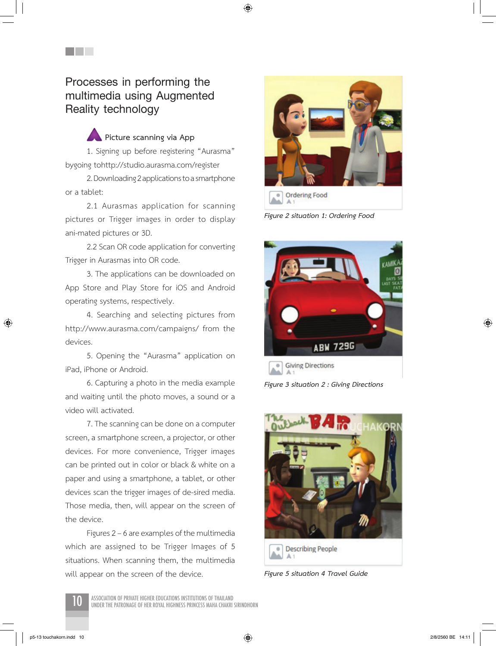◈

**Processes in performing the multimedia using Augmented Reality technology** 

<u>Filmer</u>

 **Picture scanning via App** 1. Signing up before registering "Aurasma" bygoing tohttp://studio.aurasma.com/register

2. Downloading 2 applications to a smartphone or a tablet:

2.1 Aurasmas application for scanning pictures or Trigger images in order to display ani-mated pictures or 3D.

2.2 Scan OR code application for converting Trigger in Aurasmas into OR code.

3. The applications can be downloaded on App Store and Play Store for iOS and Android operating systems, respectively.

4. Searching and selecting pictures from http://www.aurasma.com/campaigns/ from the devices.

5. Opening the "Aurasma" application on iPad, iPhone or Android.

6. Capturing a photo in the media example and waiting until the photo moves, a sound or a video will activated.

7. The scanning can be done on a computer screen, a smartphone screen, a projector, or other devices. For more convenience, Trigger images can be printed out in color or black & white on a paper and using a smartphone, a tablet, or other devices scan the trigger images of de-sired media. Those media, then, will appear on the screen of the device.

Figures 2 – 6 are examples of the multimedia which are assigned to be Trigger Images of 5 situations. When scanning them, the multimedia will appear on the screen of the device.



*Figure 2 situation 1: Ordering Food*



*Figure 3 situation 2 : Giving Directions*



*Figure 5 situation 4 Travel Guide*

ASSOCIATION OF PRIVATE HIGHER EDUCATIONS INSTITUTIONS OF THAILAND<br>UNDER THE PATRONAGE OF HER ROYAL HIGHNESS PRINCESS MAHA CHAKRI SIRINDHORN

⊕

 $\bigoplus$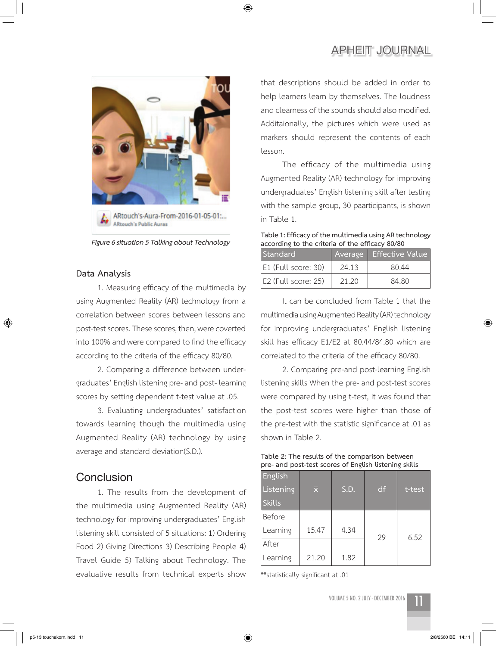

◈

*Figure 6 situation 5 Talking about Technology*

#### **Data Analysis**

⊕

1. Measuring efficacy of the multimedia by using Augmented Reality (AR) technology from a correlation between scores between lessons and post-test scores. These scores, then, were coverted into 100% and were compared to find the efficacy according to the criteria of the efficacy 80/80.

2. Comparing a difference between undergraduates' English listening pre- and post- learning scores by setting dependent t-test value at .05.

3. Evaluating undergraduates' satisfaction towards learning though the multimedia using Augmented Reality (AR) technology by using average and standard deviation(S.D.).

## **Conclusion**

1. The results from the development of the multimedia using Augmented Reality (AR) technology for improving undergraduates' English listening skill consisted of 5 situations: 1) Ordering Food 2) Giving Directions 3) Describing People 4) Travel Guide 5) Talking about Technology. The evaluative results from technical experts show that descriptions should be added in order to help learners learn by themselves. The loudness and clearness of the sounds should also modified. Additaionally, the pictures which were used as markers should represent the contents of each lesson.

The efficacy of the multimedia using Augmented Reality (AR) technology for improving undergraduates' English listening skill after testing with the sample group, 30 paarticipants, is shown in Table 1.

**Table 1: Efficacy of the multimedia using AR technology according to the criteria of the efficacy 80/80**

| Standard            |       | Average Effective Value |
|---------------------|-------|-------------------------|
| E1 (Full score: 30) | 24.13 | 80.44                   |
| E2 (Full score: 25) | 21.20 | 84.80                   |

It can be concluded from Table 1 that the multimedia using Augmented Reality (AR) technology for improving undergraduates' English listening skill has efficacy E1/E2 at 80.44/84.80 which are correlated to the criteria of the efficacy 80/80.

2. Comparing pre-and post-learning English listening skills When the pre- and post-test scores were compared by using t-test, it was found that the post-test scores were higher than those of the pre-test with the statistic significance at .01 as shown in Table 2.

| Table 2: The results of the comparison between        |  |
|-------------------------------------------------------|--|
| pre- and post-test scores of English listening skills |  |

| English<br>Listening<br><b>Skills</b> | lx,   | S.D. | df | t-test |
|---------------------------------------|-------|------|----|--------|
| Before                                |       |      |    |        |
| Learning                              | 15.47 | 4.34 | 29 | 6.52   |
| After                                 |       |      |    |        |
| Learning                              | 21.20 | 1.82 |    |        |

\*\*statistically significant at .01

VOLUME 5 NO. 2 JULY - DECEMBER 2016



 $\bigoplus$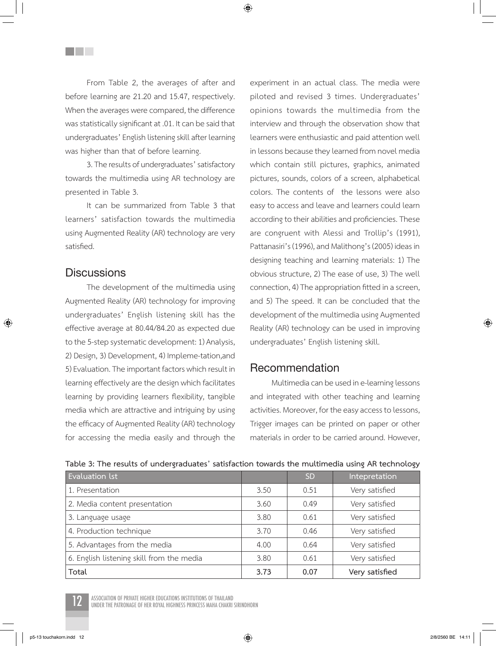◈

From Table 2, the averages of after and before learning are 21.20 and 15.47, respectively. When the averages were compared, the difference was statistically significant at .01. It can be said that undergraduates' English listening skill after learning was higher than that of before learning.

3. The results of undergraduates' satisfactory towards the multimedia using AR technology are presented in Table 3.

It can be summarized from Table 3 that learners' satisfaction towards the multimedia using Augmented Reality (AR) technology are very satisfied.

## **Discussions**

⊕

**THE SEA** 

The development of the multimedia using Augmented Reality (AR) technology for improving undergraduates' English listening skill has the effective average at 80.44/84.20 as expected due to the 5-step systematic development: 1) Analysis, 2) Design, 3) Development, 4) Impleme-tation,and 5) Evaluation. The important factors which result in learning effectively are the design which facilitates learning by providing learners flexibility, tangible media which are attractive and intriguing by using the efficacy of Augmented Reality (AR) technology for accessing the media easily and through the experiment in an actual class. The media were piloted and revised 3 times. Undergraduates' opinions towards the multimedia from the interview and through the observation show that learners were enthusiastic and paid attention well in lessons because they learned from novel media which contain still pictures, graphics, animated pictures, sounds, colors of a screen, alphabetical colors. The contents of the lessons were also easy to access and leave and learners could learn according to their abilities and proficiencies. These are congruent with Alessi and Trollip's (1991), Pattanasiri's (1996), and Malithong's (2005) ideas in designing teaching and learning materials: 1) The obvious structure, 2) The ease of use, 3) The well connection, 4) The appropriation fitted in a screen, and 5) The speed. It can be concluded that the development of the multimedia using Augmented Reality (AR) technology can be used in improving undergraduates' English listening skill.

## **Recommendation**

Multimedia can be used in e-learning lessons and integrated with other teaching and learning activities. Moreover, for the easy access to lessons, Trigger images can be printed on paper or other materials in order to be carried around. However,

| Evaluation lst                            |      | <b>SD</b> | Intepretation  |
|-------------------------------------------|------|-----------|----------------|
| 1. Presentation                           | 3.50 | 0.51      | Very satisfied |
| 2. Media content presentation             | 3.60 | 0.49      | Very satisfied |
| 3. Language usage                         | 3.80 | 0.61      | Very satisfied |
| 4. Production technique                   | 3.70 | 0.46      | Very satisfied |
| 5. Advantages from the media              | 4.00 | 0.64      | Very satisfied |
| 6. English listening skill from the media | 3.80 | 0.61      | Very satisfied |
| Total                                     | 3.73 | 0.07      | Very satisfied |

#### **Table 3: The results of undergraduates' satisfaction towards the multimedia using AR technology**



ASSOCIATION OF PRIVATE HIGHER EDUCATIONS INSTITUTIONS OF THAILAND<br>UNDER THE PATRONAGE OF HER ROYAL HIGHNESS PRINCESS MAHA CHAKRI SIRINDHORN

 $\bigoplus$